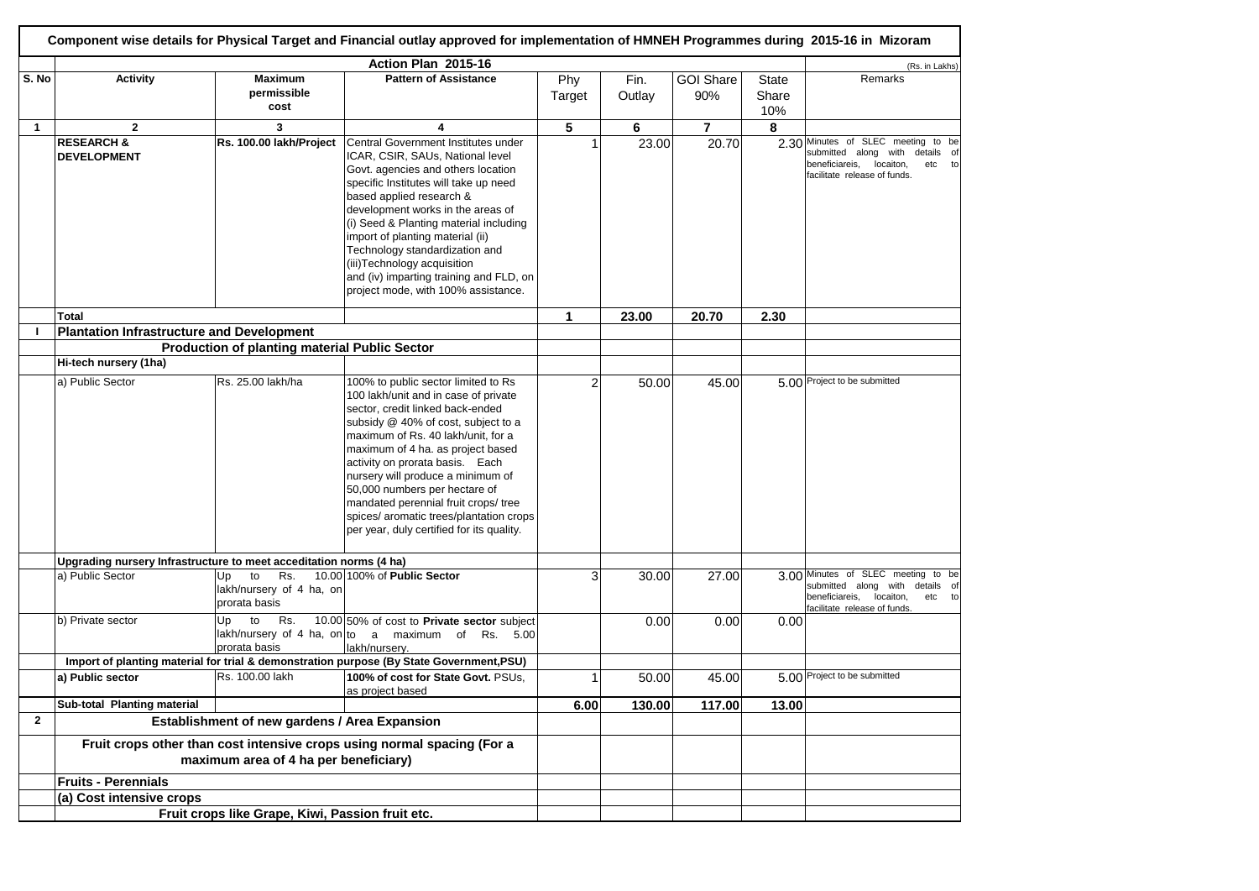|                | Component wise details for Physical Target and Financial outlay approved for implementation of HMNEH Programmes during 2015-16 in Mizoram |                                                      |                                                                                          |                |        |                  |              |                                                                          |  |
|----------------|-------------------------------------------------------------------------------------------------------------------------------------------|------------------------------------------------------|------------------------------------------------------------------------------------------|----------------|--------|------------------|--------------|--------------------------------------------------------------------------|--|
|                | Action Plan 2015-16                                                                                                                       |                                                      |                                                                                          |                |        |                  |              |                                                                          |  |
| S. No          | <b>Activity</b>                                                                                                                           | <b>Maximum</b>                                       | <b>Pattern of Assistance</b>                                                             | Phy            | Fin.   | <b>GOI Share</b> | <b>State</b> | (Rs. in Lakhs)<br>Remarks                                                |  |
|                |                                                                                                                                           | permissible                                          |                                                                                          |                |        |                  |              |                                                                          |  |
|                |                                                                                                                                           | cost                                                 |                                                                                          | Target         | Outlay | 90%              | Share        |                                                                          |  |
|                |                                                                                                                                           |                                                      |                                                                                          |                |        |                  | 10%          |                                                                          |  |
| $\mathbf{1}$   | $\mathbf{2}$                                                                                                                              | 3                                                    | 4                                                                                        | 5              | 6      | $\overline{7}$   | 8            |                                                                          |  |
|                | <b>RESEARCH &amp;</b>                                                                                                                     | Rs. 100.00 lakh/Project                              | Central Government Institutes under                                                      |                | 23.00  | 20.70            |              | 2.30 Minutes of SLEC meeting to be                                       |  |
|                | <b>DEVELOPMENT</b>                                                                                                                        |                                                      | ICAR, CSIR, SAUs, National level                                                         |                |        |                  |              | submitted along with<br>details of                                       |  |
|                |                                                                                                                                           |                                                      | Govt. agencies and others location                                                       |                |        |                  |              | beneficiareis,<br>locaiton,<br>etc<br>to<br>facilitate release of funds. |  |
|                |                                                                                                                                           |                                                      | specific Institutes will take up need                                                    |                |        |                  |              |                                                                          |  |
|                |                                                                                                                                           |                                                      | based applied research &                                                                 |                |        |                  |              |                                                                          |  |
|                |                                                                                                                                           |                                                      | development works in the areas of                                                        |                |        |                  |              |                                                                          |  |
|                |                                                                                                                                           |                                                      | (i) Seed & Planting material including                                                   |                |        |                  |              |                                                                          |  |
|                |                                                                                                                                           |                                                      | import of planting material (ii)                                                         |                |        |                  |              |                                                                          |  |
|                |                                                                                                                                           |                                                      | Technology standardization and                                                           |                |        |                  |              |                                                                          |  |
|                |                                                                                                                                           |                                                      | (iii)Technology acquisition                                                              |                |        |                  |              |                                                                          |  |
|                |                                                                                                                                           |                                                      | and (iv) imparting training and FLD, on                                                  |                |        |                  |              |                                                                          |  |
|                |                                                                                                                                           |                                                      | project mode, with 100% assistance.                                                      |                |        |                  |              |                                                                          |  |
|                |                                                                                                                                           |                                                      |                                                                                          |                |        |                  |              |                                                                          |  |
|                | Total                                                                                                                                     |                                                      |                                                                                          | $\mathbf{1}$   | 23.00  | 20.70            | 2.30         |                                                                          |  |
|                | <b>Plantation Infrastructure and Development</b>                                                                                          |                                                      |                                                                                          |                |        |                  |              |                                                                          |  |
|                |                                                                                                                                           | <b>Production of planting material Public Sector</b> |                                                                                          |                |        |                  |              |                                                                          |  |
|                | Hi-tech nursery (1ha)                                                                                                                     |                                                      |                                                                                          |                |        |                  |              |                                                                          |  |
|                | a) Public Sector                                                                                                                          | Rs. 25.00 lakh/ha                                    | 100% to public sector limited to Rs                                                      | $\overline{2}$ | 50.00  | 45.00            |              | 5.00 Project to be submitted                                             |  |
|                |                                                                                                                                           |                                                      | 100 lakh/unit and in case of private                                                     |                |        |                  |              |                                                                          |  |
|                |                                                                                                                                           |                                                      | sector, credit linked back-ended                                                         |                |        |                  |              |                                                                          |  |
|                |                                                                                                                                           |                                                      | subsidy @ 40% of cost, subject to a                                                      |                |        |                  |              |                                                                          |  |
|                |                                                                                                                                           |                                                      | maximum of Rs. 40 lakh/unit, for a                                                       |                |        |                  |              |                                                                          |  |
|                |                                                                                                                                           |                                                      | maximum of 4 ha. as project based                                                        |                |        |                  |              |                                                                          |  |
|                |                                                                                                                                           |                                                      | activity on prorata basis. Each                                                          |                |        |                  |              |                                                                          |  |
|                |                                                                                                                                           |                                                      | nursery will produce a minimum of                                                        |                |        |                  |              |                                                                          |  |
|                |                                                                                                                                           |                                                      | 50,000 numbers per hectare of                                                            |                |        |                  |              |                                                                          |  |
|                |                                                                                                                                           |                                                      | mandated perennial fruit crops/ tree                                                     |                |        |                  |              |                                                                          |  |
|                |                                                                                                                                           |                                                      | spices/ aromatic trees/plantation crops                                                  |                |        |                  |              |                                                                          |  |
|                |                                                                                                                                           |                                                      | per year, duly certified for its quality.                                                |                |        |                  |              |                                                                          |  |
|                |                                                                                                                                           |                                                      |                                                                                          |                |        |                  |              |                                                                          |  |
|                | Upgrading nursery Infrastructure to meet acceditation norms (4 ha)                                                                        |                                                      |                                                                                          |                |        |                  |              |                                                                          |  |
|                | a) Public Sector                                                                                                                          | Rs.<br>Up<br>to                                      | 10.00 100% of Public Sector                                                              | 3              | 30.00  | 27.00            |              | 3.00 Minutes of SLEC meeting to be<br>submitted along with details of    |  |
|                |                                                                                                                                           | lakh/nursery of 4 ha, on                             |                                                                                          |                |        |                  |              | beneficiareis, locaiton,<br>etc to                                       |  |
|                |                                                                                                                                           | prorata basis                                        |                                                                                          |                |        |                  |              | facilitate release of funds.                                             |  |
|                | b) Private sector                                                                                                                         | Rs.<br>Up<br>to                                      | 10.00 50% of cost to Private sector subject                                              |                | 0.00   | 0.00             | 0.00         |                                                                          |  |
|                |                                                                                                                                           |                                                      | lakh/nursery of 4 ha, on to a maximum of Rs. 5.00                                        |                |        |                  |              |                                                                          |  |
|                |                                                                                                                                           | prorata basis                                        | lakh/nursery.                                                                            |                |        |                  |              |                                                                          |  |
|                |                                                                                                                                           |                                                      | Import of planting material for trial & demonstration purpose (By State Government, PSU) |                |        |                  |              |                                                                          |  |
|                | a) Public sector                                                                                                                          | Rs. 100.00 lakh                                      | 100% of cost for State Govt. PSUs.<br>as project based                                   | 1              | 50.00  | 45.00            |              | 5.00 Project to be submitted                                             |  |
|                | Sub-total Planting material                                                                                                               |                                                      |                                                                                          | 6.00           | 130.00 | 117.00           | 13.00        |                                                                          |  |
| $\overline{2}$ |                                                                                                                                           |                                                      |                                                                                          |                |        |                  |              |                                                                          |  |
|                | Establishment of new gardens / Area Expansion<br>Fruit crops other than cost intensive crops using normal spacing (For a                  |                                                      |                                                                                          |                |        |                  |              |                                                                          |  |
|                |                                                                                                                                           | maximum area of 4 ha per beneficiary)                |                                                                                          |                |        |                  |              |                                                                          |  |
|                | <b>Fruits - Perennials</b>                                                                                                                |                                                      |                                                                                          |                |        |                  |              |                                                                          |  |
|                | (a) Cost intensive crops                                                                                                                  |                                                      |                                                                                          |                |        |                  |              |                                                                          |  |
|                |                                                                                                                                           |                                                      |                                                                                          |                |        |                  |              |                                                                          |  |
|                | Fruit crops like Grape, Kiwi, Passion fruit etc.                                                                                          |                                                      |                                                                                          |                |        |                  |              |                                                                          |  |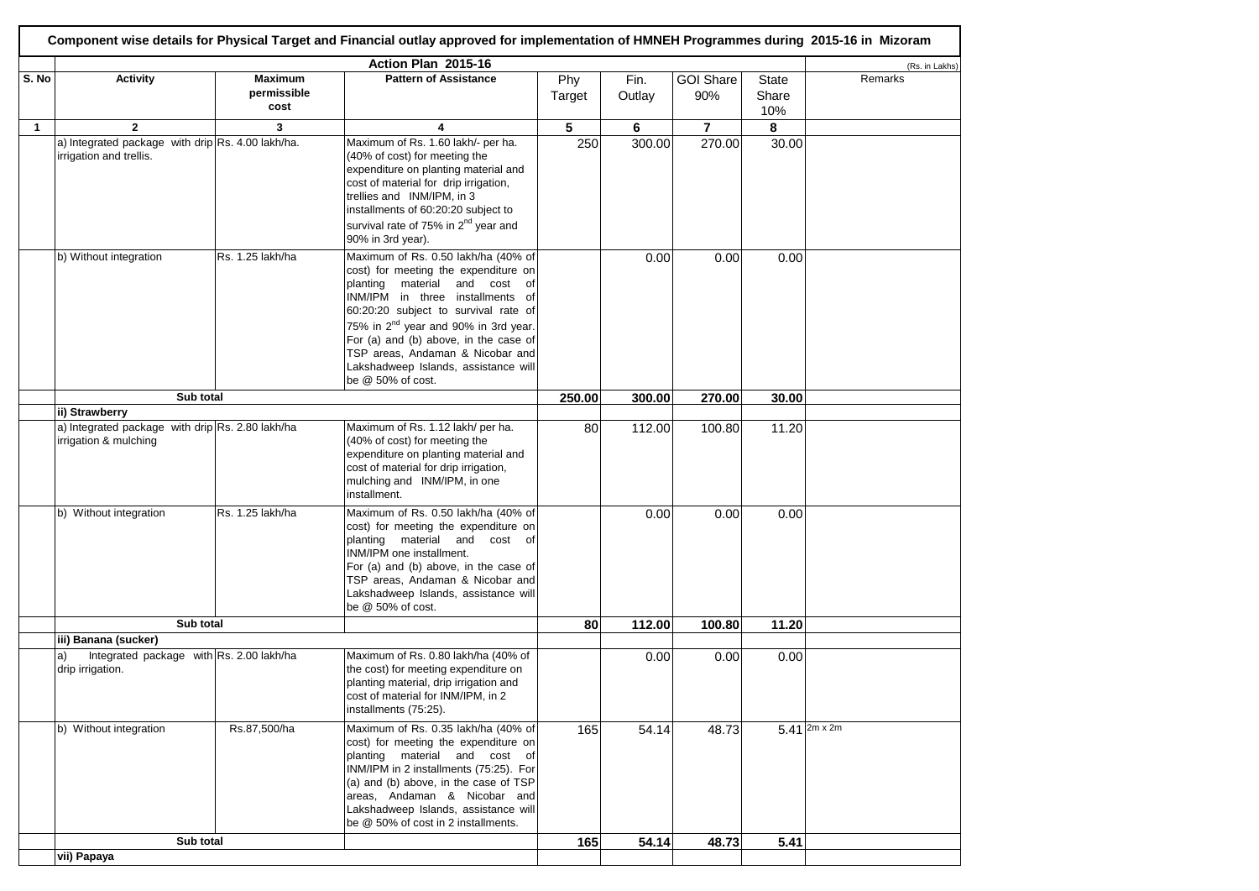|              | Component wise details for Physical Target and Financial outlay approved for implementation of HMNEH Programmes during 2015-16 in Mizoram |                                       |                                                                                                                                                                                                                                                                                                                                                                                           |               |                |                         |                              |                                          |  |  |
|--------------|-------------------------------------------------------------------------------------------------------------------------------------------|---------------------------------------|-------------------------------------------------------------------------------------------------------------------------------------------------------------------------------------------------------------------------------------------------------------------------------------------------------------------------------------------------------------------------------------------|---------------|----------------|-------------------------|------------------------------|------------------------------------------|--|--|
|              | Action Plan 2015-16                                                                                                                       |                                       |                                                                                                                                                                                                                                                                                                                                                                                           |               |                |                         |                              |                                          |  |  |
| S. No        | <b>Activity</b>                                                                                                                           | <b>Maximum</b><br>permissible<br>cost | <b>Pattern of Assistance</b>                                                                                                                                                                                                                                                                                                                                                              | Phy<br>Target | Fin.<br>Outlay | <b>GOI Share</b><br>90% | <b>State</b><br>Share<br>10% | (Rs. in Lakhs)<br>Remarks                |  |  |
| $\mathbf{1}$ | $\overline{2}$                                                                                                                            | 3                                     |                                                                                                                                                                                                                                                                                                                                                                                           | 5             | 6              | $\overline{7}$          | 8                            |                                          |  |  |
|              | a) Integrated package with drip Rs. 4.00 lakh/ha.<br>irrigation and trellis.                                                              |                                       | Maximum of Rs. 1.60 lakh/- per ha.<br>(40% of cost) for meeting the<br>expenditure on planting material and<br>cost of material for drip irrigation,<br>trellies and INM/IPM, in 3<br>installments of 60:20:20 subject to<br>survival rate of 75% in 2 <sup>nd</sup> year and<br>90% in 3rd year).                                                                                        | 250           | 300.00         | 270.00                  | 30.00                        |                                          |  |  |
|              | b) Without integration                                                                                                                    | Rs. 1.25 lakh/ha                      | Maximum of Rs. 0.50 lakh/ha (40% of<br>cost) for meeting the expenditure on<br>material and cost of<br>planting<br>INM/IPM in three installments of<br>60:20:20 subject to survival rate of<br>75% in 2 <sup>nd</sup> year and 90% in 3rd year.<br>For (a) and (b) above, in the case of<br>TSP areas, Andaman & Nicobar and<br>Lakshadweep Islands, assistance will<br>be @ 50% of cost. |               | 0.00           | 0.00                    | 0.00                         |                                          |  |  |
|              | Sub total                                                                                                                                 |                                       |                                                                                                                                                                                                                                                                                                                                                                                           |               | 300.00         | 270.00                  | 30.00                        |                                          |  |  |
|              | ii) Strawberry                                                                                                                            |                                       |                                                                                                                                                                                                                                                                                                                                                                                           |               |                |                         |                              |                                          |  |  |
|              | a) Integrated package with drip Rs. 2.80 lakh/ha<br>irrigation & mulching                                                                 |                                       | Maximum of Rs. 1.12 lakh/ per ha.<br>(40% of cost) for meeting the<br>expenditure on planting material and<br>cost of material for drip irrigation,<br>mulching and INM/IPM, in one<br>installment.                                                                                                                                                                                       | 80            | 112.00         | 100.80                  | 11.20                        |                                          |  |  |
|              | b) Without integration                                                                                                                    | Rs. 1.25 lakh/ha                      | Maximum of Rs. 0.50 lakh/ha (40% of<br>cost) for meeting the expenditure on<br>planting material and cost of<br>INM/IPM one installment.<br>For (a) and (b) above, in the case of<br>TSP areas, Andaman & Nicobar and<br>Lakshadweep Islands, assistance will<br>be @ 50% of cost.                                                                                                        |               | 0.00           | 0.00                    | 0.00                         |                                          |  |  |
|              | Sub total                                                                                                                                 |                                       |                                                                                                                                                                                                                                                                                                                                                                                           | 80            | 112.00         | 100.80                  | 11.20                        |                                          |  |  |
|              | iii) Banana (sucker)<br>Integrated package with Rs. 2.00 lakh/ha<br>a)<br>drip irrigation.                                                |                                       | Maximum of Rs. 0.80 lakh/ha (40% of<br>the cost) for meeting expenditure on<br>planting material, drip irrigation and<br>cost of material for INM/IPM, in 2<br>installments (75:25).                                                                                                                                                                                                      |               | 0.00           | 0.00                    | 0.00                         |                                          |  |  |
|              | b) Without integration                                                                                                                    | Rs.87,500/ha                          | Maximum of Rs. 0.35 lakh/ha (40% of<br>cost) for meeting the expenditure on<br>planting material and cost of<br>INM/IPM in 2 installments (75:25). For<br>(a) and (b) above, in the case of TSP<br>areas, Andaman & Nicobar and<br>Lakshadweep Islands, assistance will<br>be @ 50% of cost in 2 installments.                                                                            | 165           | 54.14          | 48.73                   |                              | $5.41 \, \mathrm{2m} \times \mathrm{2m}$ |  |  |
|              | Sub total                                                                                                                                 |                                       |                                                                                                                                                                                                                                                                                                                                                                                           | 165           | 54.14          | 48.73                   | 5.41                         |                                          |  |  |
|              | vii) Papaya                                                                                                                               |                                       |                                                                                                                                                                                                                                                                                                                                                                                           |               |                |                         |                              |                                          |  |  |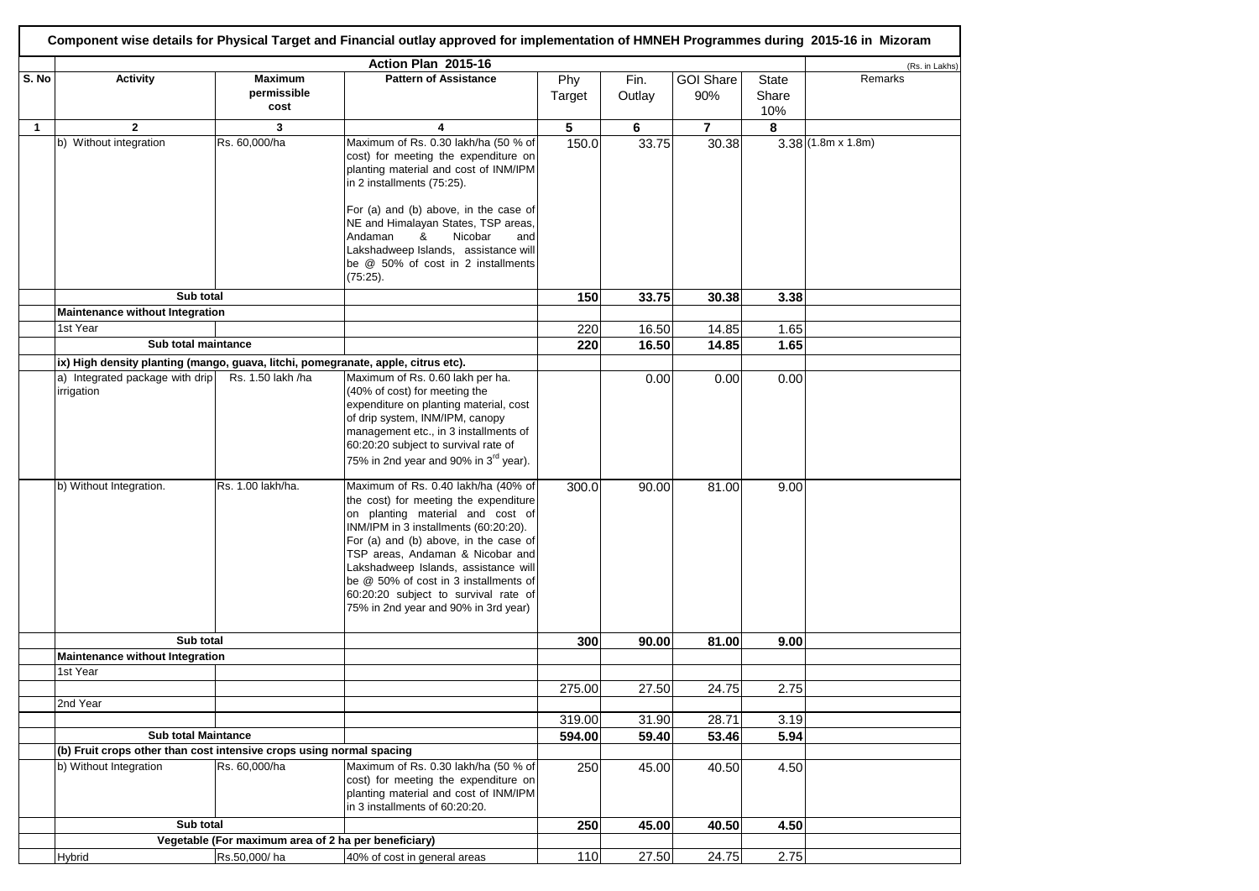| Component wise details for Physical Target and Financial outlay approved for implementation of HMNEH Programmes during 2015-16 in Mizoram |                                                                                   |                                                      |                                                                                                                                                                                                                                                                                                                                                                                                         |        |        |                  |              |                          |  |
|-------------------------------------------------------------------------------------------------------------------------------------------|-----------------------------------------------------------------------------------|------------------------------------------------------|---------------------------------------------------------------------------------------------------------------------------------------------------------------------------------------------------------------------------------------------------------------------------------------------------------------------------------------------------------------------------------------------------------|--------|--------|------------------|--------------|--------------------------|--|
|                                                                                                                                           | Action Plan 2015-16                                                               |                                                      |                                                                                                                                                                                                                                                                                                                                                                                                         |        |        |                  |              |                          |  |
| S. No                                                                                                                                     | <b>Activity</b>                                                                   | <b>Maximum</b>                                       | <b>Pattern of Assistance</b>                                                                                                                                                                                                                                                                                                                                                                            | Phy    | Fin.   | <b>GOI Share</b> | State        | Remarks                  |  |
|                                                                                                                                           |                                                                                   | permissible<br>cost                                  |                                                                                                                                                                                                                                                                                                                                                                                                         | Target | Outlay | 90%              | Share<br>10% |                          |  |
| $\mathbf{1}$                                                                                                                              | $\mathbf{2}$                                                                      | 3                                                    | 4                                                                                                                                                                                                                                                                                                                                                                                                       | 5      | 6      | $\overline{7}$   | 8            |                          |  |
|                                                                                                                                           | b) Without integration                                                            | Rs. 60,000/ha                                        | Maximum of Rs. 0.30 lakh/ha (50 % of                                                                                                                                                                                                                                                                                                                                                                    | 150.0  | 33.75  | 30.38            |              | $3.38(1.8m \times 1.8m)$ |  |
|                                                                                                                                           |                                                                                   |                                                      | cost) for meeting the expenditure on<br>planting material and cost of INM/IPM<br>in 2 installments (75:25).<br>For (a) and (b) above, in the case of<br>NE and Himalayan States, TSP areas,<br>Nicobar<br>Andaman<br>&<br>and<br>Lakshadweep Islands, assistance will<br>be @ 50% of cost in 2 installments                                                                                             |        |        |                  |              |                          |  |
|                                                                                                                                           |                                                                                   |                                                      | $(75:25)$ .                                                                                                                                                                                                                                                                                                                                                                                             |        |        |                  |              |                          |  |
|                                                                                                                                           | Sub total                                                                         |                                                      |                                                                                                                                                                                                                                                                                                                                                                                                         | 150    | 33.75  | 30.38            | 3.38         |                          |  |
|                                                                                                                                           | Maintenance without Integration                                                   |                                                      |                                                                                                                                                                                                                                                                                                                                                                                                         |        |        |                  |              |                          |  |
|                                                                                                                                           | 1st Year                                                                          |                                                      |                                                                                                                                                                                                                                                                                                                                                                                                         | 220    | 16.50  | 14.85            | 1.65         |                          |  |
|                                                                                                                                           | Sub total maintance                                                               |                                                      |                                                                                                                                                                                                                                                                                                                                                                                                         | 220    | 16.50  | 14.85            | 1.65         |                          |  |
|                                                                                                                                           | ix) High density planting (mango, guava, litchi, pomegranate, apple, citrus etc). |                                                      |                                                                                                                                                                                                                                                                                                                                                                                                         |        |        |                  |              |                          |  |
|                                                                                                                                           | a) Integrated package with drip<br>irrigation                                     | Rs. 1.50 lakh /ha                                    | Maximum of Rs. 0.60 lakh per ha.<br>(40% of cost) for meeting the<br>expenditure on planting material, cost<br>of drip system, INM/IPM, canopy<br>management etc., in 3 installments of<br>60:20:20 subject to survival rate of<br>75% in 2nd year and 90% in 3 <sup>rd</sup> year).                                                                                                                    |        | 0.00   | 0.00             | 0.00         |                          |  |
|                                                                                                                                           | b) Without Integration.                                                           | Rs. 1.00 lakh/ha.                                    | Maximum of Rs. 0.40 lakh/ha (40% of<br>the cost) for meeting the expenditure<br>on planting material and cost of<br>INM/IPM in 3 installments (60:20:20).<br>For (a) and (b) above, in the case of<br>TSP areas, Andaman & Nicobar and<br>Lakshadweep Islands, assistance will<br>be @ 50% of cost in 3 installments of<br>60:20:20 subject to survival rate of<br>75% in 2nd year and 90% in 3rd year) | 300.0  | 90.00  | 81.00            | 9.00         |                          |  |
|                                                                                                                                           | Sub total                                                                         |                                                      |                                                                                                                                                                                                                                                                                                                                                                                                         | 300    | 90.00  | 81.00            | 9.00         |                          |  |
|                                                                                                                                           | Maintenance without Integration                                                   |                                                      |                                                                                                                                                                                                                                                                                                                                                                                                         |        |        |                  |              |                          |  |
|                                                                                                                                           | 1st Year                                                                          |                                                      |                                                                                                                                                                                                                                                                                                                                                                                                         |        |        |                  |              |                          |  |
|                                                                                                                                           |                                                                                   |                                                      |                                                                                                                                                                                                                                                                                                                                                                                                         | 275.00 | 27.50  | 24.75            | 2.75         |                          |  |
|                                                                                                                                           | 2nd Year                                                                          |                                                      |                                                                                                                                                                                                                                                                                                                                                                                                         |        |        |                  |              |                          |  |
|                                                                                                                                           |                                                                                   |                                                      |                                                                                                                                                                                                                                                                                                                                                                                                         | 319.00 | 31.90  | 28.71            | 3.19         |                          |  |
|                                                                                                                                           | <b>Sub total Maintance</b>                                                        |                                                      |                                                                                                                                                                                                                                                                                                                                                                                                         | 594.00 | 59.40  | 53.46            | 5.94         |                          |  |
|                                                                                                                                           | (b) Fruit crops other than cost intensive crops using normal spacing              |                                                      |                                                                                                                                                                                                                                                                                                                                                                                                         |        |        |                  |              |                          |  |
|                                                                                                                                           | b) Without Integration                                                            | Rs. 60,000/ha                                        | Maximum of Rs. 0.30 lakh/ha (50 % of<br>cost) for meeting the expenditure on<br>planting material and cost of INM/IPM<br>in 3 installments of 60:20:20.                                                                                                                                                                                                                                                 | 250    | 45.00  | 40.50            | 4.50         |                          |  |
|                                                                                                                                           | Sub total                                                                         |                                                      |                                                                                                                                                                                                                                                                                                                                                                                                         | 250    | 45.00  | 40.50            | 4.50         |                          |  |
|                                                                                                                                           |                                                                                   | Vegetable (For maximum area of 2 ha per beneficiary) |                                                                                                                                                                                                                                                                                                                                                                                                         |        |        |                  |              |                          |  |
|                                                                                                                                           | Hybrid                                                                            | Rs.50,000/ha                                         | 40% of cost in general areas                                                                                                                                                                                                                                                                                                                                                                            | 110    | 27.50  | 24.75            | 2.75         |                          |  |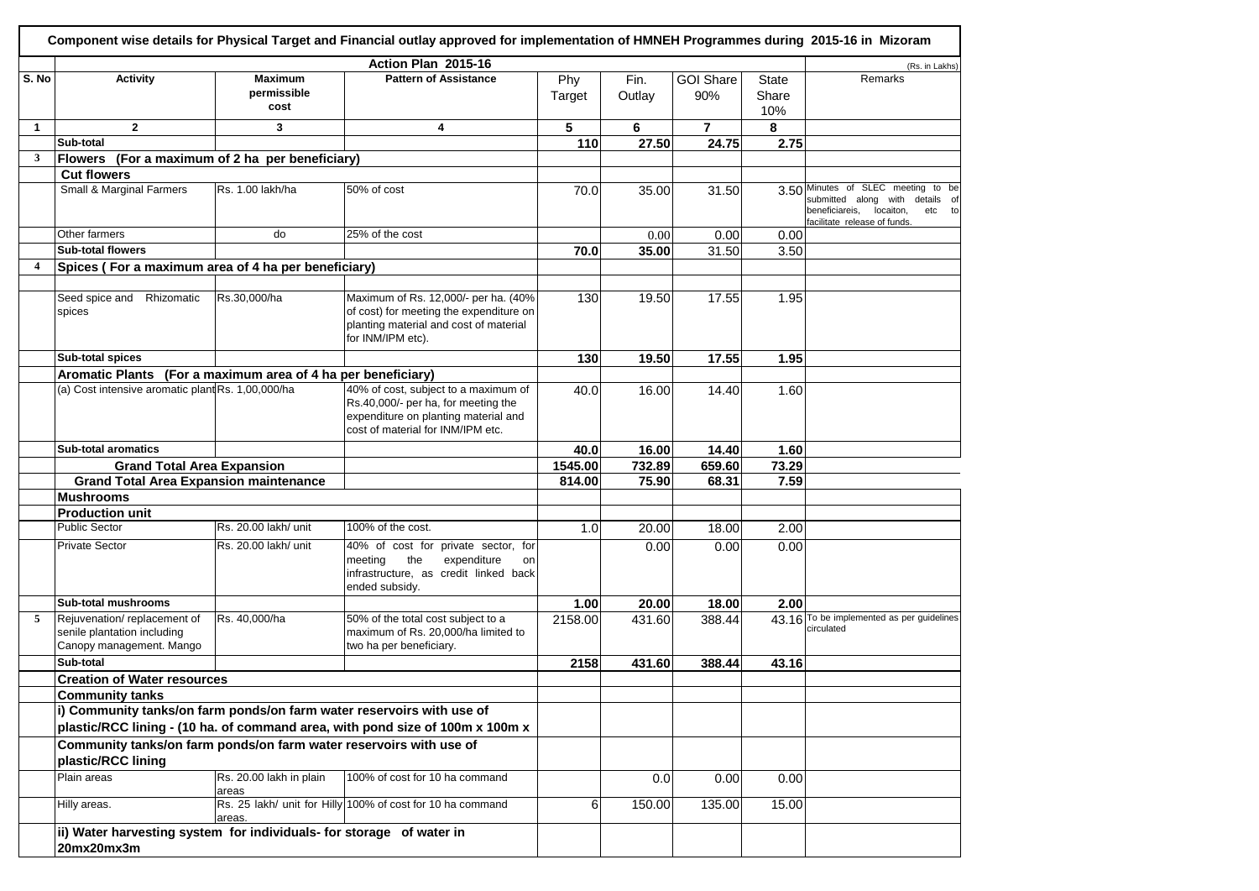| Component wise details for Physical Target and Financial outlay approved for implementation of HMNEH Programmes during 2015-16 in Mizoram |                                                                                          |                                       |                                                                                                                                                          |               |                |                         |                              |                                                                                                                                                |  |
|-------------------------------------------------------------------------------------------------------------------------------------------|------------------------------------------------------------------------------------------|---------------------------------------|----------------------------------------------------------------------------------------------------------------------------------------------------------|---------------|----------------|-------------------------|------------------------------|------------------------------------------------------------------------------------------------------------------------------------------------|--|
| Action Plan 2015-16                                                                                                                       |                                                                                          |                                       |                                                                                                                                                          |               |                |                         |                              |                                                                                                                                                |  |
| S. No                                                                                                                                     | <b>Activity</b>                                                                          | <b>Maximum</b><br>permissible<br>cost | <b>Pattern of Assistance</b>                                                                                                                             | Phy<br>Target | Fin.<br>Outlay | <b>GOI Share</b><br>90% | <b>State</b><br>Share<br>10% | (Rs. in Lakhs)<br>Remarks                                                                                                                      |  |
| $\mathbf{1}$                                                                                                                              | $\overline{2}$                                                                           | 3                                     | 4                                                                                                                                                        | 5             | 6              | 7                       | 8                            |                                                                                                                                                |  |
|                                                                                                                                           | Sub-total                                                                                |                                       |                                                                                                                                                          | 110           | 27.50          | 24.75                   | 2.75                         |                                                                                                                                                |  |
| $\mathbf{3}$                                                                                                                              | Flowers (For a maximum of 2 ha per beneficiary)                                          |                                       |                                                                                                                                                          |               |                |                         |                              |                                                                                                                                                |  |
|                                                                                                                                           | <b>Cut flowers</b>                                                                       |                                       |                                                                                                                                                          |               |                |                         |                              |                                                                                                                                                |  |
|                                                                                                                                           | Small & Marginal Farmers                                                                 | Rs. 1.00 lakh/ha                      | 50% of cost                                                                                                                                              | 70.0          | 35.00          | 31.50                   |                              | 3.50 Minutes of SLEC meeting to be<br>submitted along with details of<br>beneficiareis,<br>locaiton,<br>etc to<br>facilitate release of funds. |  |
|                                                                                                                                           | Other farmers                                                                            | do                                    | 25% of the cost                                                                                                                                          |               | 0.00           | 0.00                    | 0.00                         |                                                                                                                                                |  |
|                                                                                                                                           | <b>Sub-total flowers</b>                                                                 |                                       |                                                                                                                                                          | 70.0          | 35.00          | 31.50                   | 3.50                         |                                                                                                                                                |  |
| 4                                                                                                                                         | Spices (For a maximum area of 4 ha per beneficiary)                                      |                                       |                                                                                                                                                          |               |                |                         |                              |                                                                                                                                                |  |
|                                                                                                                                           |                                                                                          |                                       |                                                                                                                                                          |               |                |                         |                              |                                                                                                                                                |  |
|                                                                                                                                           | Seed spice and Rhizomatic<br>spices                                                      | Rs.30,000/ha                          | Maximum of Rs. 12,000/- per ha. (40%<br>of cost) for meeting the expenditure on<br>planting material and cost of material<br>for INM/IPM etc).           | 130           | 19.50          | 17.55                   | 1.95                         |                                                                                                                                                |  |
|                                                                                                                                           | Sub-total spices                                                                         |                                       |                                                                                                                                                          | 130           | 19.50          | 17.55                   | 1.95                         |                                                                                                                                                |  |
|                                                                                                                                           | Aromatic Plants (For a maximum area of 4 ha per beneficiary)                             |                                       |                                                                                                                                                          |               |                |                         |                              |                                                                                                                                                |  |
|                                                                                                                                           | (a) Cost intensive aromatic plant Rs. 1,00,000/ha                                        |                                       | 40% of cost, subject to a maximum of<br>Rs.40,000/- per ha, for meeting the<br>expenditure on planting material and<br>cost of material for INM/IPM etc. | 40.0          | 16.00          | 14.40                   | 1.60                         |                                                                                                                                                |  |
|                                                                                                                                           | Sub-total aromatics                                                                      |                                       |                                                                                                                                                          | 40.0          | 16.00          | 14.40                   | 1.60                         |                                                                                                                                                |  |
|                                                                                                                                           | <b>Grand Total Area Expansion</b>                                                        |                                       |                                                                                                                                                          | 1545.00       | 732.89         | 659.60                  | 73.29                        |                                                                                                                                                |  |
|                                                                                                                                           | <b>Grand Total Area Expansion maintenance</b>                                            |                                       |                                                                                                                                                          | 814.00        | 75.90          | 68.31                   | 7.59                         |                                                                                                                                                |  |
|                                                                                                                                           | <b>Mushrooms</b>                                                                         |                                       |                                                                                                                                                          |               |                |                         |                              |                                                                                                                                                |  |
|                                                                                                                                           | <b>Production unit</b>                                                                   |                                       |                                                                                                                                                          |               |                |                         |                              |                                                                                                                                                |  |
|                                                                                                                                           | <b>Public Sector</b>                                                                     | Rs. 20.00 lakh/ unit                  | 100% of the cost.                                                                                                                                        | 1.0           | 20.00          | 18.00                   | 2.00                         |                                                                                                                                                |  |
|                                                                                                                                           | <b>Private Sector</b>                                                                    | Rs. 20.00 lakh/ unit                  | 40% of cost for private sector, for<br>the<br>expenditure<br>meeting<br>on<br>infrastructure, as credit linked back<br>ended subsidy.                    |               | 0.00           | 0.00                    | 0.00                         |                                                                                                                                                |  |
|                                                                                                                                           | Sub-total mushrooms                                                                      |                                       |                                                                                                                                                          | 1.00          | 20.00          | 18.00                   | 2.00                         |                                                                                                                                                |  |
| 5                                                                                                                                         | Rejuvenation/replacement of<br>senile plantation including<br>Canopy management. Mango   | Rs. 40,000/ha                         | 50% of the total cost subject to a<br>maximum of Rs. 20,000/ha limited to<br>two ha per beneficiary.                                                     | 2158.00       | 431.60         | 388.44                  |                              | 43.16 To be implemented as per guidelines<br>circulated                                                                                        |  |
|                                                                                                                                           | Sub-total                                                                                |                                       |                                                                                                                                                          | 2158          | 431.60         | 388.44                  | 43.16                        |                                                                                                                                                |  |
|                                                                                                                                           | <b>Creation of Water resources</b>                                                       |                                       |                                                                                                                                                          |               |                |                         |                              |                                                                                                                                                |  |
|                                                                                                                                           | <b>Community tanks</b>                                                                   |                                       |                                                                                                                                                          |               |                |                         |                              |                                                                                                                                                |  |
|                                                                                                                                           | i) Community tanks/on farm ponds/on farm water reservoirs with use of                    |                                       |                                                                                                                                                          |               |                |                         |                              |                                                                                                                                                |  |
|                                                                                                                                           | plastic/RCC lining - (10 ha. of command area, with pond size of 100m x 100m x            |                                       |                                                                                                                                                          |               |                |                         |                              |                                                                                                                                                |  |
|                                                                                                                                           | Community tanks/on farm ponds/on farm water reservoirs with use of<br>plastic/RCC lining |                                       |                                                                                                                                                          |               |                |                         |                              |                                                                                                                                                |  |
|                                                                                                                                           | Plain areas                                                                              | Rs. 20.00 lakh in plain<br>areas      | 100% of cost for 10 ha command                                                                                                                           |               | 0.0            | 0.00                    | 0.00                         |                                                                                                                                                |  |
|                                                                                                                                           | Hilly areas.                                                                             | areas.                                | Rs. 25 lakh/ unit for Hilly 100% of cost for 10 ha command                                                                                               | 6             | 150.00         | 135.00                  | 15.00                        |                                                                                                                                                |  |
|                                                                                                                                           | ii) Water harvesting system for individuals- for storage of water in<br>20mx20mx3m       |                                       |                                                                                                                                                          |               |                |                         |                              |                                                                                                                                                |  |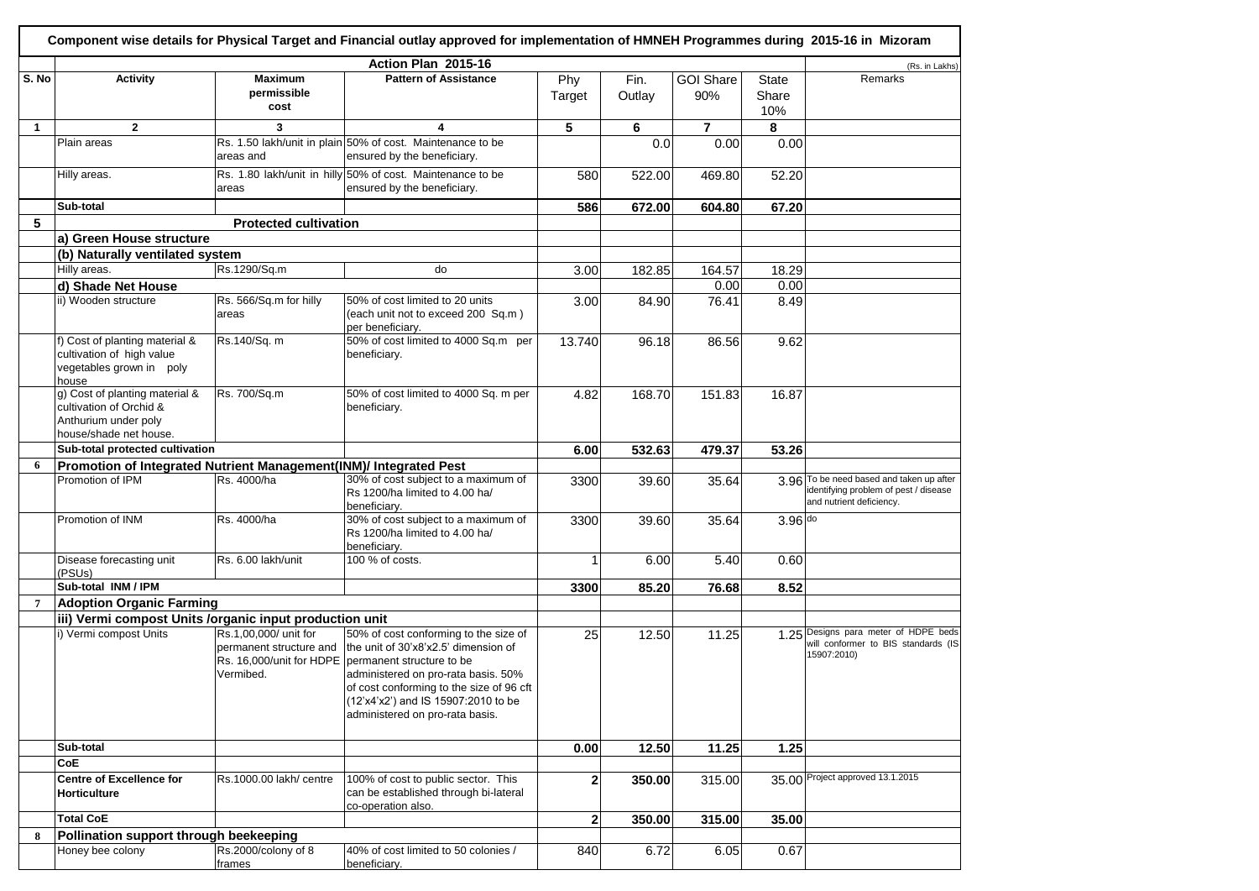|                |                                                                                                             |                                                               | Component wise details for Physical Target and Financial outlay approved for implementation of HMNEH Programmes during 2015-16 in Mizoram                                                                                                                                                        |               |                |                         |                              |                                                                                                               |
|----------------|-------------------------------------------------------------------------------------------------------------|---------------------------------------------------------------|--------------------------------------------------------------------------------------------------------------------------------------------------------------------------------------------------------------------------------------------------------------------------------------------------|---------------|----------------|-------------------------|------------------------------|---------------------------------------------------------------------------------------------------------------|
|                |                                                                                                             |                                                               | Action Plan 2015-16                                                                                                                                                                                                                                                                              |               |                |                         |                              | (Rs. in Lakhs)                                                                                                |
| S. No          | <b>Activity</b>                                                                                             | <b>Maximum</b><br>permissible<br>cost                         | <b>Pattern of Assistance</b>                                                                                                                                                                                                                                                                     | Phy<br>Target | Fin.<br>Outlay | <b>GOI Share</b><br>90% | <b>State</b><br>Share<br>10% | Remarks                                                                                                       |
| $\mathbf{1}$   | $\overline{2}$                                                                                              | 3                                                             | 4                                                                                                                                                                                                                                                                                                | 5             | 6              | $\overline{7}$          | 8                            |                                                                                                               |
|                | Plain areas                                                                                                 | areas and                                                     | Rs. 1.50 lakh/unit in plain 50% of cost. Maintenance to be<br>ensured by the beneficiary.                                                                                                                                                                                                        |               | 0.0            | 0.00                    | 0.00                         |                                                                                                               |
|                | Hilly areas.                                                                                                | areas                                                         | Rs. 1.80 lakh/unit in hilly 50% of cost. Maintenance to be<br>ensured by the beneficiary.                                                                                                                                                                                                        | 580           | 522.00         | 469.80                  | $\overline{5}2.20$           |                                                                                                               |
|                | Sub-total                                                                                                   |                                                               |                                                                                                                                                                                                                                                                                                  | 586           | 672.00         | 604.80                  | 67.20                        |                                                                                                               |
| 5              |                                                                                                             | <b>Protected cultivation</b>                                  |                                                                                                                                                                                                                                                                                                  |               |                |                         |                              |                                                                                                               |
|                | a) Green House structure                                                                                    |                                                               |                                                                                                                                                                                                                                                                                                  |               |                |                         |                              |                                                                                                               |
|                | (b) Naturally ventilated system                                                                             |                                                               |                                                                                                                                                                                                                                                                                                  |               |                |                         |                              |                                                                                                               |
|                | Hilly areas.                                                                                                | Rs.1290/Sq.m                                                  | do                                                                                                                                                                                                                                                                                               | 3.00          | 182.85         | 164.57                  | 18.29                        |                                                                                                               |
|                | d) Shade Net House                                                                                          |                                                               |                                                                                                                                                                                                                                                                                                  |               |                | 0.00                    | 0.00                         |                                                                                                               |
|                | ii) Wooden structure                                                                                        | Rs. 566/Sq.m for hilly<br>areas                               | 50% of cost limited to 20 units<br>(each unit not to exceed 200 Sq.m)<br>per beneficiary.                                                                                                                                                                                                        | 3.00          | 84.90          | 76.41                   | 8.49                         |                                                                                                               |
|                | f) Cost of planting material &<br>cultivation of high value<br>vegetables grown in poly<br>house            | Rs.140/Sq. m                                                  | 50% of cost limited to 4000 Sq.m per<br>beneficiary.                                                                                                                                                                                                                                             | 13.740        | 96.18          | 86.56                   | 9.62                         |                                                                                                               |
|                | g) Cost of planting material &<br>cultivation of Orchid &<br>Anthurium under poly<br>house/shade net house. | Rs. 700/Sq.m                                                  | 50% of cost limited to 4000 Sq. m per<br>beneficiary.                                                                                                                                                                                                                                            | 4.82          | 168.70         | 151.83                  | 16.87                        |                                                                                                               |
|                | Sub-total protected cultivation                                                                             |                                                               |                                                                                                                                                                                                                                                                                                  | 6.00          | 532.63         | 479.37                  | 53.26                        |                                                                                                               |
| 6              | Promotion of Integrated Nutrient Management(INM)/ Integrated Pest                                           |                                                               |                                                                                                                                                                                                                                                                                                  |               |                |                         |                              |                                                                                                               |
|                | Promotion of IPM                                                                                            | Rs. 4000/ha                                                   | 30% of cost subject to a maximum of<br>Rs 1200/ha limited to 4.00 ha/<br>beneficiary.                                                                                                                                                                                                            | 3300          | 39.60          | 35.64                   |                              | 3.96 To be need based and taken up after<br>identifying problem of pest / disease<br>and nutrient deficiency. |
|                | Promotion of INM                                                                                            | Rs. 4000/ha                                                   | 30% of cost subject to a maximum of<br>Rs 1200/ha limited to 4.00 ha/<br>beneficiary.                                                                                                                                                                                                            | 3300          | 39.60          | 35.64                   | 3.96 do                      |                                                                                                               |
|                | Disease forecasting unit<br>(PSUs)                                                                          | Rs. 6.00 lakh/unit                                            | 100 % of costs.                                                                                                                                                                                                                                                                                  |               | 6.00           | 5.40                    | 0.60                         |                                                                                                               |
|                | Sub-total INM / IPM                                                                                         |                                                               |                                                                                                                                                                                                                                                                                                  | 3300          | 85.20          | 76.68                   | 8.52                         |                                                                                                               |
| $\overline{7}$ | <b>Adoption Organic Farming</b>                                                                             |                                                               |                                                                                                                                                                                                                                                                                                  |               |                |                         |                              |                                                                                                               |
|                | iii) Vermi compost Units /organic input production unit                                                     |                                                               |                                                                                                                                                                                                                                                                                                  |               |                |                         |                              |                                                                                                               |
|                | i) Vermi compost Units                                                                                      | Rs.1,00,000/ unit for<br>permanent structure and<br>Vermibed. | 50% of cost conforming to the size of<br>the unit of 30'x8'x2.5' dimension of<br>Rs. 16,000/unit for HDPE permanent structure to be<br>administered on pro-rata basis. 50%<br>of cost conforming to the size of 96 cft<br>(12'x4'x2') and IS 15907:2010 to be<br>administered on pro-rata basis. | 25            | 12.50          | 11.25                   |                              | 1.25 Designs para meter of HDPE beds<br>will conformer to BIS standards (IS<br>15907:2010)                    |
|                | Sub-total                                                                                                   |                                                               |                                                                                                                                                                                                                                                                                                  | 0.00          | 12.50          | 11.25                   | 1.25                         |                                                                                                               |
|                | CoE                                                                                                         |                                                               |                                                                                                                                                                                                                                                                                                  |               |                |                         |                              |                                                                                                               |
|                | <b>Centre of Excellence for</b><br>Horticulture                                                             | Rs.1000.00 lakh/ centre                                       | 100% of cost to public sector. This<br>can be established through bi-lateral<br>co-operation also.                                                                                                                                                                                               | 2             | 350.00         | 315.00                  |                              | 35.00 Project approved 13.1.2015                                                                              |
|                | <b>Total CoE</b>                                                                                            |                                                               |                                                                                                                                                                                                                                                                                                  | $\mathbf{2}$  | 350.00         | 315.00                  | 35.00                        |                                                                                                               |
| 8              | Pollination support through beekeeping                                                                      |                                                               |                                                                                                                                                                                                                                                                                                  |               |                |                         |                              |                                                                                                               |
|                | Honey bee colony                                                                                            | Rs.2000/colony of 8<br>frames                                 | 40% of cost limited to 50 colonies /<br>beneficiary.                                                                                                                                                                                                                                             | 840           | 6.72           | 6.05                    | 0.67                         |                                                                                                               |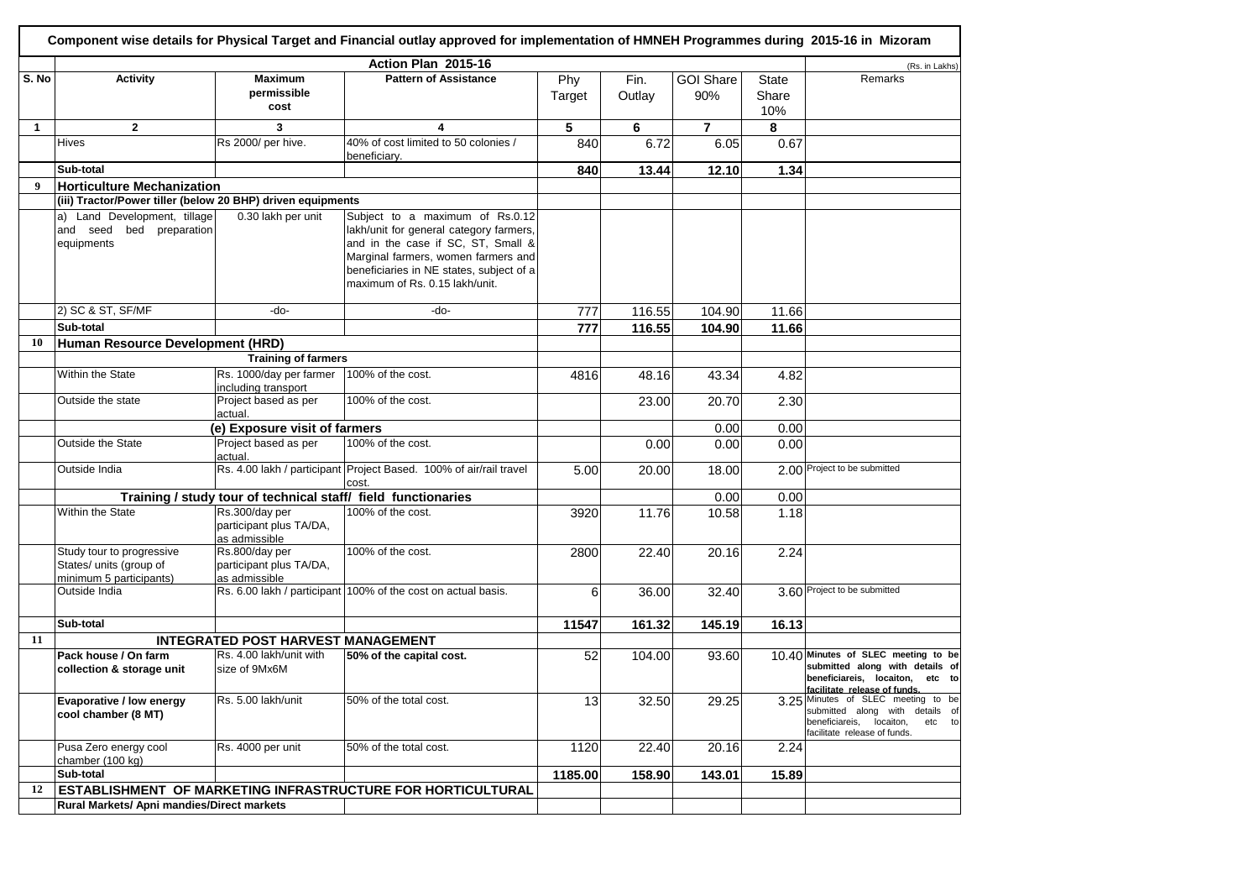| Component wise details for Physical Target and Financial outlay approved for implementation of HMNEH Programmes during 2015-16 in Mizoram |                                                             |                                                               |                                                                             |         |        |                  |              |                                                                    |
|-------------------------------------------------------------------------------------------------------------------------------------------|-------------------------------------------------------------|---------------------------------------------------------------|-----------------------------------------------------------------------------|---------|--------|------------------|--------------|--------------------------------------------------------------------|
|                                                                                                                                           |                                                             |                                                               | (Rs. in Lakhs)                                                              |         |        |                  |              |                                                                    |
| S. No                                                                                                                                     | <b>Activity</b>                                             | <b>Maximum</b>                                                | Action Plan 2015-16<br><b>Pattern of Assistance</b>                         | Phy     | Fin.   | <b>GOI Share</b> | <b>State</b> | Remarks                                                            |
|                                                                                                                                           |                                                             | permissible<br>cost                                           |                                                                             | Target  | Outlay | 90%              | Share<br>10% |                                                                    |
| $\mathbf{1}$                                                                                                                              | $\mathbf{2}$                                                | 3                                                             | 4                                                                           | 5       | 6      | $\mathbf{7}$     | 8            |                                                                    |
|                                                                                                                                           | <b>Hives</b>                                                | Rs 2000/ per hive.                                            | 40% of cost limited to 50 colonies /                                        | 840     | 6.72   | 6.05             | 0.67         |                                                                    |
|                                                                                                                                           |                                                             |                                                               | beneficiary.                                                                |         |        |                  |              |                                                                    |
|                                                                                                                                           | Sub-total                                                   |                                                               |                                                                             | 840     | 13.44  | 12.10            | 1.34         |                                                                    |
| 9                                                                                                                                         | <b>Horticulture Mechanization</b>                           |                                                               |                                                                             |         |        |                  |              |                                                                    |
|                                                                                                                                           | (iii) Tractor/Power tiller (below 20 BHP) driven equipments |                                                               |                                                                             |         |        |                  |              |                                                                    |
|                                                                                                                                           | a) Land Development, tillage                                | 0.30 lakh per unit                                            | Subject to a maximum of Rs.0.12                                             |         |        |                  |              |                                                                    |
|                                                                                                                                           | and seed bed preparation                                    |                                                               | lakh/unit for general category farmers,                                     |         |        |                  |              |                                                                    |
|                                                                                                                                           | equipments                                                  |                                                               | and in the case if SC, ST, Small &                                          |         |        |                  |              |                                                                    |
|                                                                                                                                           |                                                             |                                                               | Marginal farmers, women farmers and                                         |         |        |                  |              |                                                                    |
|                                                                                                                                           |                                                             |                                                               | beneficiaries in NE states, subject of a                                    |         |        |                  |              |                                                                    |
|                                                                                                                                           |                                                             |                                                               | maximum of Rs. 0.15 lakh/unit.                                              |         |        |                  |              |                                                                    |
|                                                                                                                                           |                                                             |                                                               |                                                                             |         |        |                  |              |                                                                    |
|                                                                                                                                           | 2) SC & ST, SF/MF                                           | -do-                                                          | -do-                                                                        | 777     | 116.55 | 104.90           | 11.66        |                                                                    |
|                                                                                                                                           | Sub-total                                                   |                                                               |                                                                             | 777     | 116.55 | 104.90           | 11.66        |                                                                    |
| 10                                                                                                                                        | Human Resource Development (HRD)                            |                                                               |                                                                             |         |        |                  |              |                                                                    |
|                                                                                                                                           |                                                             | <b>Training of farmers</b>                                    |                                                                             |         |        |                  |              |                                                                    |
|                                                                                                                                           | Within the State                                            | Rs. 1000/day per farmer                                       | 100% of the cost.                                                           |         |        |                  |              |                                                                    |
|                                                                                                                                           |                                                             | including transport                                           |                                                                             | 4816    | 48.16  | 43.34            | 4.82         |                                                                    |
|                                                                                                                                           | Outside the state                                           | Project based as per<br>actual.                               | 100% of the cost.                                                           |         | 23.00  | 20.70            | 2.30         |                                                                    |
|                                                                                                                                           |                                                             | (e) Exposure visit of farmers                                 |                                                                             |         |        | 0.00             | 0.00         |                                                                    |
|                                                                                                                                           |                                                             |                                                               |                                                                             |         |        |                  |              |                                                                    |
|                                                                                                                                           | Outside the State                                           | Project based as per<br>actual.                               | 100% of the cost.                                                           |         | 0.00   | 0.00             | 0.00         |                                                                    |
|                                                                                                                                           | Outside India                                               |                                                               | Rs. 4.00 lakh / participant Project Based. 100% of air/rail travel<br>cost. | 5.00    | 20.00  | 18.00            |              | 2.00 Project to be submitted                                       |
|                                                                                                                                           |                                                             | Training / study tour of technical staff/ field functionaries |                                                                             |         |        | 0.00             | 0.00         |                                                                    |
|                                                                                                                                           | Within the State                                            | Rs.300/day per                                                | 100% of the cost.                                                           | 3920    | 11.76  | 10.58            | 1.18         |                                                                    |
|                                                                                                                                           |                                                             | participant plus TA/DA,                                       |                                                                             |         |        |                  |              |                                                                    |
|                                                                                                                                           |                                                             | as admissible                                                 |                                                                             |         |        |                  |              |                                                                    |
|                                                                                                                                           | Study tour to progressive                                   | Rs.800/day per                                                | 100% of the cost.                                                           | 2800    | 22.40  | 20.16            | 2.24         |                                                                    |
|                                                                                                                                           | States/ units (group of                                     | participant plus TA/DA,                                       |                                                                             |         |        |                  |              |                                                                    |
|                                                                                                                                           | minimum 5 participants)                                     | as admissible                                                 |                                                                             |         |        |                  |              |                                                                    |
|                                                                                                                                           | Outside India                                               |                                                               | Rs. 6.00 lakh / participant 100% of the cost on actual basis.               | 6       | 36.00  | 32.40            |              | 3.60 Project to be submitted                                       |
|                                                                                                                                           |                                                             |                                                               |                                                                             |         |        |                  |              |                                                                    |
|                                                                                                                                           | Sub-total                                                   |                                                               |                                                                             | 11547   | 161.32 | 145.19           | 16.13        |                                                                    |
| 11                                                                                                                                        |                                                             | <b>INTEGRATED POST HARVEST MANAGEMENT</b>                     |                                                                             |         |        |                  |              |                                                                    |
|                                                                                                                                           | Pack house / On farm                                        | Rs. 4.00 lakh/unit with                                       | 50% of the capital cost.                                                    | 52      | 104.00 | 93.60            |              | 10.40 Minutes of SLEC meeting to be                                |
|                                                                                                                                           | collection & storage unit                                   | size of 9Mx6M                                                 |                                                                             |         |        |                  |              | submitted along with details of                                    |
|                                                                                                                                           |                                                             |                                                               |                                                                             |         |        |                  |              | beneficiareis, locaiton, etc to<br>facilitate release of funds.    |
|                                                                                                                                           | Evaporative / low energy                                    | Rs. 5.00 lakh/unit                                            | 50% of the total cost.                                                      | 13      | 32.50  | 29.25            |              | 3.25 Minutes of SLEC meeting to be                                 |
|                                                                                                                                           | cool chamber (8 MT)                                         |                                                               |                                                                             |         |        |                  |              | submitted along with details of                                    |
|                                                                                                                                           |                                                             |                                                               |                                                                             |         |        |                  |              | beneficiareis, locaiton,<br>etc to<br>facilitate release of funds. |
|                                                                                                                                           | Pusa Zero energy cool                                       | Rs. 4000 per unit                                             | 50% of the total cost.                                                      | 1120    | 22.40  | 20.16            | 2.24         |                                                                    |
|                                                                                                                                           | chamber (100 kg)                                            |                                                               |                                                                             |         |        |                  |              |                                                                    |
|                                                                                                                                           | Sub-total                                                   |                                                               |                                                                             | 1185.00 | 158.90 | 143.01           | 15.89        |                                                                    |
| 12                                                                                                                                        |                                                             |                                                               | ESTABLISHMENT OF MARKETING INFRASTRUCTURE FOR HORTICULTURAL                 |         |        |                  |              |                                                                    |
|                                                                                                                                           | Rural Markets/ Apni mandies/Direct markets                  |                                                               |                                                                             |         |        |                  |              |                                                                    |
|                                                                                                                                           |                                                             |                                                               |                                                                             |         |        |                  |              |                                                                    |